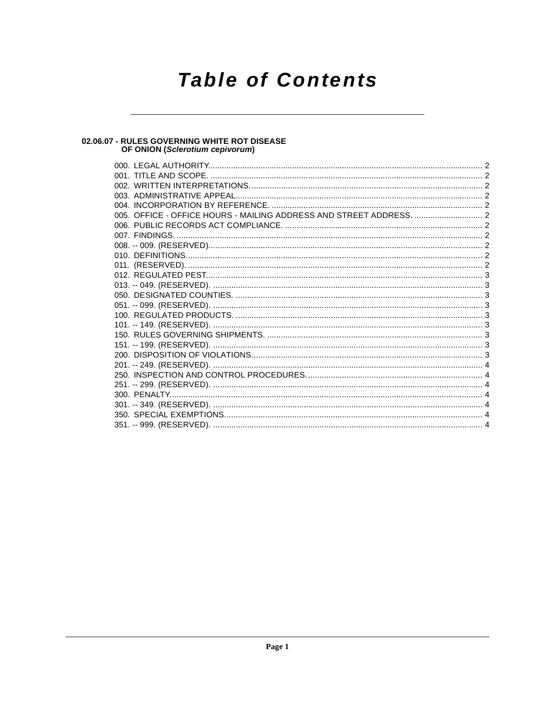# **Table of Contents**

#### 02.06.07 - RULES GOVERNING WHITE ROT DISEASE OF ONION (Sclerotium cepivorum)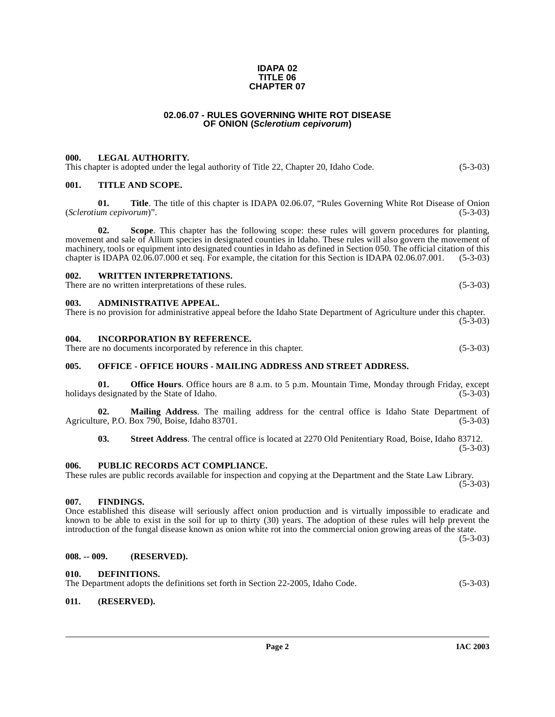#### **IDAPA 02 TITLE 06 CHAPTER 07**

# **02.06.07 - RULES GOVERNING WHITE ROT DISEASE OF ONION (Sclerotium cepivorum)**

### <span id="page-1-1"></span><span id="page-1-0"></span>**000. LEGAL AUTHORITY.**

This chapter is adopted under the legal authority of Title 22, Chapter 20, Idaho Code. (5-3-03)

#### <span id="page-1-2"></span>**001. TITLE AND SCOPE.**

**01. Title**. The title of this chapter is IDAPA 02.06.07, "Rules Governing White Rot Disease of Onion (*Sclerotium cepivorum*)". (5-3-03)

**02. Scope**. This chapter has the following scope: these rules will govern procedures for planting, movement and sale of Allium species in designated counties in Idaho. These rules will also govern the movement of machinery, tools or equipment into designated counties in Idaho as defined in Section 050. The official citation of this chapter is IDAPA 02.06.07.000 et seq. For example, the citation for this Section is IDAPA 02.06.07.00 chapter is IDAPA 02.06.07.000 et seq. For example, the citation for this Section is IDAPA 02.06.07.001.

#### <span id="page-1-3"></span>**002. WRITTEN INTERPRETATIONS.**

There are no written interpretations of these rules. (5-3-03)

#### <span id="page-1-4"></span>**003. ADMINISTRATIVE APPEAL.**

There is no provision for administrative appeal before the Idaho State Department of Agriculture under this chapter.  $(5-3-03)$ 

#### <span id="page-1-5"></span>**004. INCORPORATION BY REFERENCE.**

There are no documents incorporated by reference in this chapter. (5-3-03)

# <span id="page-1-6"></span>**005. OFFICE - OFFICE HOURS - MAILING ADDRESS AND STREET ADDRESS.**

**01. Office Hours**. Office hours are 8 a.m. to 5 p.m. Mountain Time, Monday through Friday, except holidays designated by the State of Idaho. (5-3-03)

**02.** Mailing Address. The mailing address for the central office is Idaho State Department of are P.O. Box 790. Boise. Idaho 83701. (5-3-03) Agriculture, P.O. Box 790, Boise, Idaho 83701.

**03. Street Address**. The central office is located at 2270 Old Penitentiary Road, Boise, Idaho 83712. (5-3-03)

#### <span id="page-1-7"></span>**006. PUBLIC RECORDS ACT COMPLIANCE.**

These rules are public records available for inspection and copying at the Department and the State Law Library.  $(5-3-03)$ 

#### <span id="page-1-8"></span>**007. FINDINGS.**

Once established this disease will seriously affect onion production and is virtually impossible to eradicate and known to be able to exist in the soil for up to thirty (30) years. The adoption of these rules will help prevent the introduction of the fungal disease known as onion white rot into the commercial onion growing areas of the state.

(5-3-03)

#### <span id="page-1-9"></span>**008. -- 009. (RESERVED).**

#### <span id="page-1-12"></span><span id="page-1-10"></span>**010. DEFINITIONS.**

The Department adopts the definitions set forth in Section 22-2005, Idaho Code. (5-3-03)

#### <span id="page-1-11"></span>**011. (RESERVED).**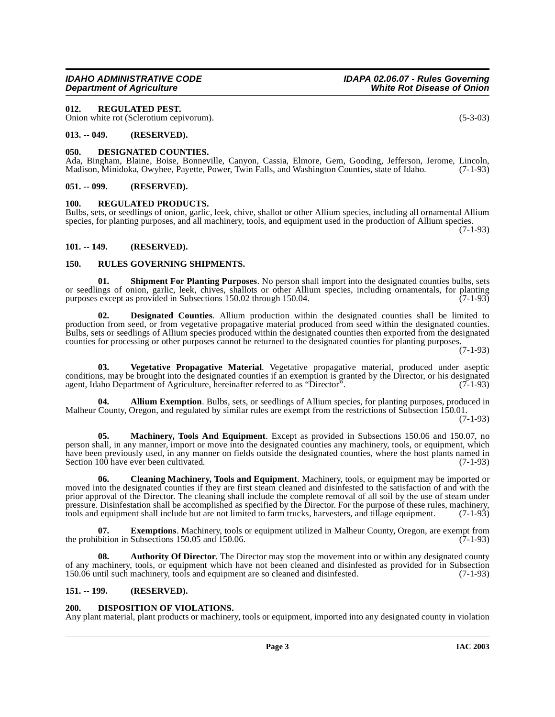have been previously used, in any manner on fields outside the designated counties, where the host plants named in Section 100 have ever been cultivated. (7-1-93) Section 100 have ever been cultivated.

**06. Cleaning Machinery, Tools and Equipment**. Machinery, tools, or equipment may be imported or moved into the designated counties if they are first steam cleaned and disinfested to the satisfaction of and with the prior approval of the Director. The cleaning shall include the complete removal of all soil by the use of steam under pressure. Disinfestation shall be accomplished as specified by the Director. For the purpose of these rules, machinery, tools and equipment shall include but are not limited to farm trucks, harvesters, and tillage equipment. (7-1-93)

<span id="page-2-15"></span>**07. Exemptions**. Machinery, tools or equipment utilized in Malheur County, Oregon, are exempt from the prohibition in Subsections 150.05 and 150.06. ( $(7-1-93)$ )

<span id="page-2-10"></span>**08.** Authority Of Director. The Director may stop the movement into or within any designated county of any machinery, tools, or equipment which have not been cleaned and disinfested as provided for in Subsection 150.06 until such machinery, tools and equipment are so cleaned and disinfested. (7-1-93)  $150.06$  until such machinery, tools and equipment are so cleaned and disinfested.

#### <span id="page-2-7"></span>**151. -- 199. (RESERVED).**

# <span id="page-2-14"></span><span id="page-2-8"></span>**200. DISPOSITION OF VIOLATIONS.**

Any plant material, plant products or machinery, tools or equipment, imported into any designated county in violation

# **IDAHO ADMINISTRATIVE CODE IDAPA 02.06.07 - Rules Governing**

#### <span id="page-2-17"></span><span id="page-2-0"></span>**012. REGULATED PEST.**

Onion white rot (Sclerotium cepivorum). (5-3-03)

#### <span id="page-2-1"></span>**013. -- 049. (RESERVED).**

#### <span id="page-2-13"></span><span id="page-2-2"></span>**050. DESIGNATED COUNTIES.**

Ada, Bingham, Blaine, Boise, Bonneville, Canyon, Cassia, Elmore, Gem, Gooding, Jefferson, Jerome, Lincoln, Madison, Minidoka, Owyhee, Payette, Power, Twin Falls, and Washington Counties, state of Idaho. (7-1-93) Madison, Minidoka, Owyhee, Payette, Power, Twin Falls, and Washington Counties, state of Idaho.

### <span id="page-2-3"></span>**051. -- 099. (RESERVED).**

#### <span id="page-2-18"></span><span id="page-2-4"></span>**100. REGULATED PRODUCTS.**

Bulbs, sets, or seedlings of onion, garlic, leek, chive, shallot or other Allium species, including all ornamental Allium species, for planting purposes, and all machinery, tools, and equipment used in the production of Allium species. (7-1-93)

<span id="page-2-5"></span>**101. -- 149. (RESERVED).**

# <span id="page-2-19"></span><span id="page-2-6"></span>**150. RULES GOVERNING SHIPMENTS.**

<span id="page-2-20"></span>**Shipment For Planting Purposes**. No person shall import into the designated counties bulbs, sets or seedlings of onion, garlic, leek, chives, shallots or other Allium species, including ornamentals, for planting<br>purposes except as provided in Subsections 150.02 through 150.04 purposes except as provided in Subsections 150.02 through 150.04.

<span id="page-2-12"></span>**02. Designated Counties**. Allium production within the designated counties shall be limited to production from seed, or from vegetative propagative material produced from seed within the designated counties. Bulbs, sets or seedlings of Allium species produced within the designated counties then exported from the designated counties for processing or other purposes cannot be returned to the designated counties for planting purposes.

(7-1-93)

<span id="page-2-21"></span>**03. Vegetative Propagative Material**. Vegetative propagative material, produced under aseptic conditions, may be brought into the designated counties if an exemption is granted by the Director, or his designated agent, Idaho Department of Agriculture, hereinafter referred to as "Director". (7-1-93) agent, Idaho Department of Agriculture, hereinafter referred to as "Director".

**04. Allium Exemption**. Bulbs, sets, or seedlings of Allium species, for planting purposes, produced in Malheur County, Oregon, and regulated by similar rules are exempt from the restrictions of Subsection 150.01.

person shall, in any manner, import or move into the designated counties any machinery, tools, or equipment, which

<span id="page-2-16"></span><span id="page-2-11"></span><span id="page-2-9"></span>**05. Machinery, Tools And Equipment**. Except as provided in Subsections 150.06 and 150.07, no

(7-1-93)

**White Rot Disease of Onion**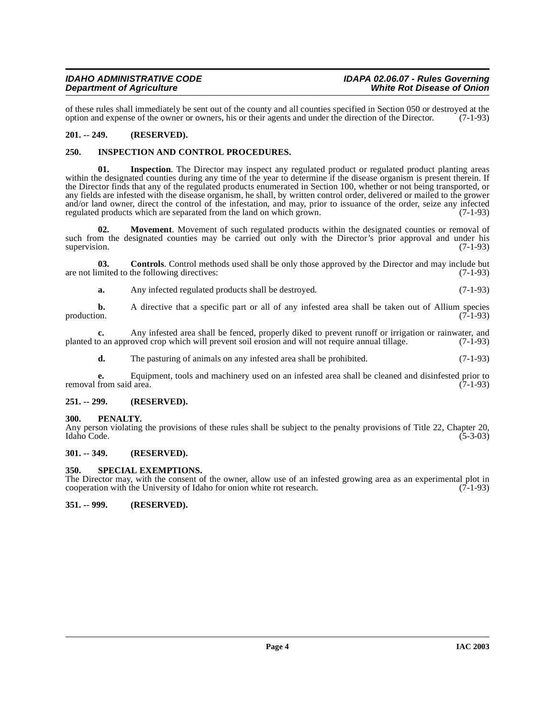of these rules shall immediately be sent out of the county and all counties specified in Section 050 or destroyed at the option and expense of the owner or owners, his or their agents and under the direction of the Directo option and expense of the owner or owners, his or their agents and under the direction of the Director.

# <span id="page-3-0"></span>**201. -- 249. (RESERVED).**

#### <span id="page-3-8"></span><span id="page-3-1"></span>**250. INSPECTION AND CONTROL PROCEDURES.**

<span id="page-3-9"></span>**01. Inspection**. The Director may inspect any regulated product or regulated product planting areas within the designated counties during any time of the year to determine if the disease organism is present therein. If the Director finds that any of the regulated products enumerated in Section 100, whether or not being transported, or any fields are infested with the disease organism, he shall, by written control order, delivered or mailed to the grower and/or land owner, direct the control of the infestation, and may, prior to issuance of the order, seize any infected regulated products which are separated from the land on which grown.  $(7-1-93)$ regulated products which are separated from the land on which grown.

<span id="page-3-10"></span>**02. Movement**. Movement of such regulated products within the designated counties or removal of such from the designated counties may be carried out only with the Director's prior approval and under his supervision. (7-1-93) supervision.  $(7-1-93)$ 

**03. Controls**. Control methods used shall be only those approved by the Director and may include but mited to the following directives: (7-1-93) are not limited to the following directives:

<span id="page-3-7"></span>**a.** Any infected regulated products shall be destroyed. (7-1-93)

**b.** A directive that a specific part or all of any infested area shall be taken out of Allium species production. (7-1-93) production.  $(7-1-93)$ 

**c.** Any infested area shall be fenced, properly diked to prevent runoff or irrigation or rainwater, and o an approved crop which will prevent soil erosion and will not require annual tillage. (7-1-93) planted to an approved crop which will prevent soil erosion and will not require annual tillage.

**d.** The pasturing of animals on any infested area shall be prohibited. (7-1-93)

**e.** Equipment, tools and machinery used on an infested area shall be cleaned and disinfested prior to from said area. (7-1-93) removal from said area.

#### <span id="page-3-2"></span>**251. -- 299. (RESERVED).**

<span id="page-3-3"></span>**300. PENALTY.**

Any person violating the provisions of these rules shall be subject to the penalty provisions of Title 22, Chapter 20, Idaho Code. (5-3-03) Idaho Code. (5-3-03)

# <span id="page-3-4"></span>**301. -- 349. (RESERVED).**

#### <span id="page-3-11"></span><span id="page-3-5"></span>**350. SPECIAL EXEMPTIONS.**

The Director may, with the consent of the owner, allow use of an infested growing area as an experimental plot in cooperation with the University of Idaho for onion white rot research. (7-1-93) cooperation with the University of Idaho for onion white rot research.

<span id="page-3-6"></span>**351. -- 999. (RESERVED).**